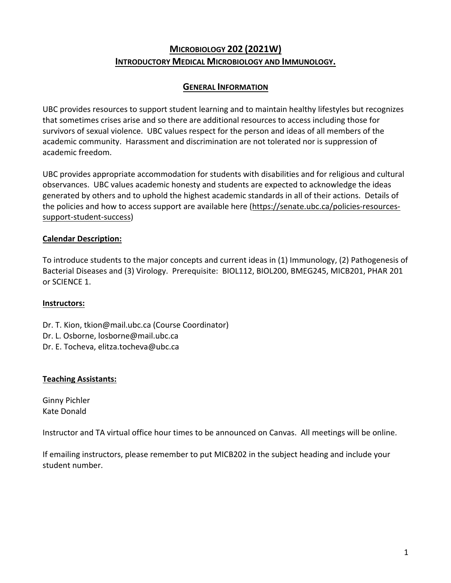# **MICROBIOLOGY 202 (2021W) INTRODUCTORY MEDICAL MICROBIOLOGY AND IMMUNOLOGY.**

### **GENERAL INFORMATION**

UBC provides resources to support student learning and to maintain healthy lifestyles but recognizes that sometimes crises arise and so there are additional resources to access including those for survivors of sexual violence. UBC values respect for the person and ideas of all members of the academic community. Harassment and discrimination are not tolerated nor is suppression of academic freedom.

UBC provides appropriate accommodation for students with disabilities and for religious and cultural observances. UBC values academic honesty and students are expected to acknowledge the ideas generated by others and to uphold the highest academic standards in all of their actions. Details of the policies and how to access support are available here (https://senate.ubc.ca/policies-resourcessupport-student-success)

#### **Calendar Description:**

To introduce students to the major concepts and current ideas in (1) Immunology, (2) Pathogenesis of Bacterial Diseases and (3) Virology. Prerequisite: BIOL112, BIOL200, BMEG245, MICB201, PHAR 201 or SCIENCE 1.

#### **Instructors:**

Dr. T. Kion, tkion@mail.ubc.ca (Course Coordinator) Dr. L. Osborne, losborne@mail.ubc.ca Dr. E. Tocheva, elitza.tocheva@ubc.ca

#### **Teaching Assistants:**

Ginny Pichler Kate Donald

Instructor and TA virtual office hour times to be announced on Canvas. All meetings will be online.

If emailing instructors, please remember to put MICB202 in the subject heading and include your student number.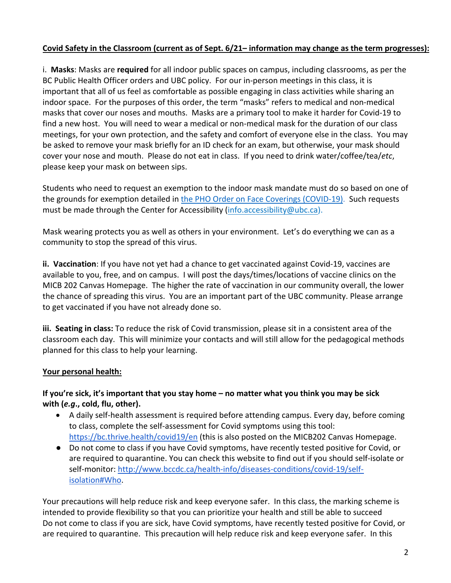### **Covid Safety in the Classroom (current as of Sept. 6/21– information may change as the term progresses):**

i. **Masks**: Masks are **required** for all indoor public spaces on campus, including classrooms, as per the BC Public Health Officer orders and UBC policy. For our in-person meetings in this class, it is important that all of us feel as comfortable as possible engaging in class activities while sharing an indoor space. For the purposes of this order, the term "masks" refers to medical and non-medical masks that cover our noses and mouths. Masks are a primary tool to make it harder for Covid-19 to find a new host. You will need to wear a medical or non-medical mask for the duration of our class meetings, for your own protection, and the safety and comfort of everyone else in the class. You may be asked to remove your mask briefly for an ID check for an exam, but otherwise, your mask should cover your nose and mouth. Please do not eat in class. If you need to drink water/coffee/tea/*etc*, please keep your mask on between sips.

Students who need to request an exemption to the indoor mask mandate must do so based on one of the grounds for exemption detailed in the PHO Order on Face Coverings (COVID-19). Such requests must be made through the Center for Accessibility (info.accessibility@ubc.ca).

Mask wearing protects you as well as others in your environment. Let's do everything we can as a community to stop the spread of this virus.

**ii. Vaccination**: If you have not yet had a chance to get vaccinated against Covid-19, vaccines are available to you, free, and on campus. I will post the days/times/locations of vaccine clinics on the MICB 202 Canvas Homepage. The higher the rate of vaccination in our community overall, the lower the chance of spreading this virus. You are an important part of the UBC community. Please arrange to get vaccinated if you have not already done so.

**iii. Seating in class:** To reduce the risk of Covid transmission, please sit in a consistent area of the classroom each day. This will minimize your contacts and will still allow for the pedagogical methods planned for this class to help your learning.

#### **Your personal health:**

### **If you're sick, it's important that you stay home – no matter what you think you may be sick with (***e.g***., cold, flu, other).**

- A daily self-health assessment is required before attending campus. Every day, before coming to class, complete the self-assessment for Covid symptoms using this tool: https://bc.thrive.health/covid19/en (this is also posted on the MICB202 Canvas Homepage.
- Do not come to class if you have Covid symptoms, have recently tested positive for Covid, or are required to quarantine. You can check this website to find out if you should self-isolate or self-monitor: http://www.bccdc.ca/health-info/diseases-conditions/covid-19/selfisolation#Who.

Your precautions will help reduce risk and keep everyone safer. In this class, the marking scheme is intended to provide flexibility so that you can prioritize your health and still be able to succeed Do not come to class if you are sick, have Covid symptoms, have recently tested positive for Covid, or are required to quarantine. This precaution will help reduce risk and keep everyone safer. In this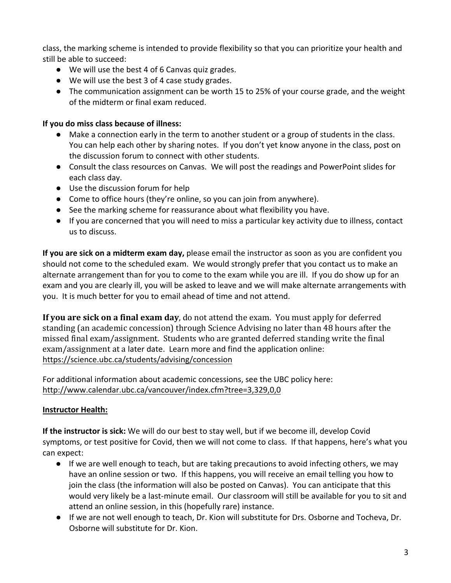class, the marking scheme is intended to provide flexibility so that you can prioritize your health and still be able to succeed:

- We will use the best 4 of 6 Canvas quiz grades.
- We will use the best 3 of 4 case study grades.
- The communication assignment can be worth 15 to 25% of your course grade, and the weight of the midterm or final exam reduced.

## **If you do miss class because of illness:**

- Make a connection early in the term to another student or a group of students in the class. You can help each other by sharing notes. If you don't yet know anyone in the class, post on the discussion forum to connect with other students.
- Consult the class resources on Canvas. We will post the readings and PowerPoint slides for each class day.
- Use the discussion forum for help
- Come to office hours (they're online, so you can join from anywhere).
- See the marking scheme for reassurance about what flexibility you have.
- If you are concerned that you will need to miss a particular key activity due to illness, contact us to discuss.

**If you are sick on a midterm exam day,** please email the instructor as soon as you are confident you should not come to the scheduled exam. We would strongly prefer that you contact us to make an alternate arrangement than for you to come to the exam while you are ill. If you do show up for an exam and you are clearly ill, you will be asked to leave and we will make alternate arrangements with you. It is much better for you to email ahead of time and not attend.

**If you are sick on a final exam day**, do not attend the exam. You must apply for deferred standing (an academic concession) through Science Advising no later than 48 hours after the missed final exam/assignment. Students who are granted deferred standing write the final exam/assignment at a later date. Learn more and find the application online: https://science.ubc.ca/students/advising/concession

For additional information about academic concessions, see the UBC policy here: http://www.calendar.ubc.ca/vancouver/index.cfm?tree=3,329,0,0

# **Instructor Health:**

**If the instructor is sick:** We will do our best to stay well, but if we become ill, develop Covid symptoms, or test positive for Covid, then we will not come to class. If that happens, here's what you can expect:

- If we are well enough to teach, but are taking precautions to avoid infecting others, we may have an online session or two. If this happens, you will receive an email telling you how to join the class (the information will also be posted on Canvas). You can anticipate that this would very likely be a last-minute email. Our classroom will still be available for you to sit and attend an online session, in this (hopefully rare) instance.
- If we are not well enough to teach, Dr. Kion will substitute for Drs. Osborne and Tocheva, Dr. Osborne will substitute for Dr. Kion.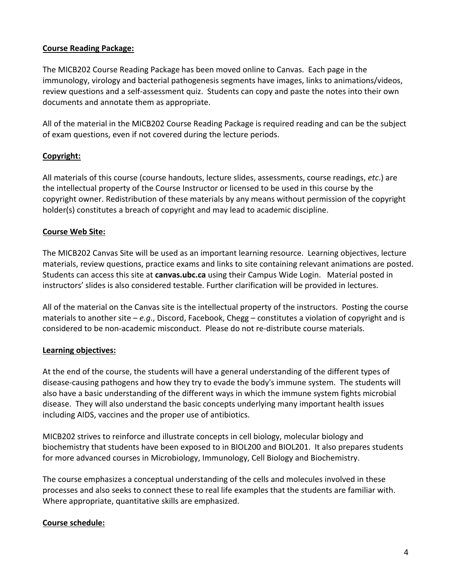#### **Course Reading Package:**

The MICB202 Course Reading Package has been moved online to Canvas. Each page in the immunology, virology and bacterial pathogenesis segments have images, links to animations/videos, review questions and a self-assessment quiz. Students can copy and paste the notes into their own documents and annotate them as appropriate.

All of the material in the MICB202 Course Reading Package is required reading and can be the subject of exam questions, even if not covered during the lecture periods.

### **Copyright:**

All materials of this course (course handouts, lecture slides, assessments, course readings, *etc*.) are the intellectual property of the Course Instructor or licensed to be used in this course by the copyright owner. Redistribution of these materials by any means without permission of the copyright holder(s) constitutes a breach of copyright and may lead to academic discipline.

### **Course Web Site:**

The MICB202 Canvas Site will be used as an important learning resource. Learning objectives, lecture materials, review questions, practice exams and links to site containing relevant animations are posted. Students can access this site at **canvas.ubc.ca** using their Campus Wide Login. Material posted in instructors' slides is also considered testable. Further clarification will be provided in lectures.

All of the material on the Canvas site is the intellectual property of the instructors. Posting the course materials to another site – *e.g*., Discord, Facebook, Chegg – constitutes a violation of copyright and is considered to be non-academic misconduct. Please do not re-distribute course materials.

#### **Learning objectives:**

At the end of the course, the students will have a general understanding of the different types of disease-causing pathogens and how they try to evade the body's immune system. The students will also have a basic understanding of the different ways in which the immune system fights microbial disease. They will also understand the basic concepts underlying many important health issues including AIDS, vaccines and the proper use of antibiotics.

MICB202 strives to reinforce and illustrate concepts in cell biology, molecular biology and biochemistry that students have been exposed to in BIOL200 and BIOL201. It also prepares students for more advanced courses in Microbiology, Immunology, Cell Biology and Biochemistry.

The course emphasizes a conceptual understanding of the cells and molecules involved in these processes and also seeks to connect these to real life examples that the students are familiar with. Where appropriate, quantitative skills are emphasized.

#### **Course schedule:**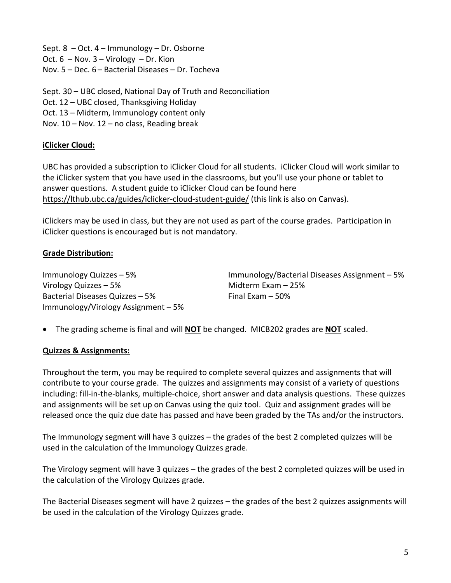Sept. 8 – Oct. 4 – Immunology – Dr. Osborne Oct. 6 – Nov. 3 – Virology – Dr. Kion Nov. 5 – Dec. 6 – Bacterial Diseases – Dr. Tocheva

Sept. 30 – UBC closed, National Day of Truth and Reconciliation Oct. 12 – UBC closed, Thanksgiving Holiday Oct. 13 – Midterm, Immunology content only Nov. 10 – Nov. 12 – no class, Reading break

## **iClicker Cloud:**

UBC has provided a subscription to iClicker Cloud for all students. iClicker Cloud will work similar to the iClicker system that you have used in the classrooms, but you'll use your phone or tablet to answer questions. A student guide to iClicker Cloud can be found here https://lthub.ubc.ca/guides/iclicker-cloud-student-guide/ (this link is also on Canvas).

iClickers may be used in class, but they are not used as part of the course grades. Participation in iClicker questions is encouraged but is not mandatory.

### **Grade Distribution:**

Virology Quizzes – 5% Midterm Exam – 25% Bacterial Diseases Quizzes – 5% Final Exam – 50% Immunology/Virology Assignment – 5%

Immunology Quizzes – 5% Immunology/Bacterial Diseases Assignment – 5%

• The grading scheme is final and will **NOT** be changed. MICB202 grades are **NOT** scaled.

#### **Quizzes & Assignments:**

Throughout the term, you may be required to complete several quizzes and assignments that will contribute to your course grade. The quizzes and assignments may consist of a variety of questions including: fill-in-the-blanks, multiple-choice, short answer and data analysis questions. These quizzes and assignments will be set up on Canvas using the quiz tool. Quiz and assignment grades will be released once the quiz due date has passed and have been graded by the TAs and/or the instructors.

The Immunology segment will have 3 quizzes – the grades of the best 2 completed quizzes will be used in the calculation of the Immunology Quizzes grade.

The Virology segment will have 3 quizzes – the grades of the best 2 completed quizzes will be used in the calculation of the Virology Quizzes grade.

The Bacterial Diseases segment will have 2 quizzes – the grades of the best 2 quizzes assignments will be used in the calculation of the Virology Quizzes grade.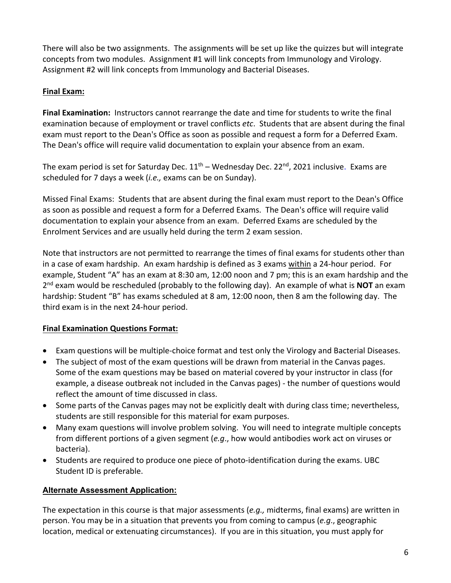There will also be two assignments. The assignments will be set up like the quizzes but will integrate concepts from two modules. Assignment #1 will link concepts from Immunology and Virology. Assignment #2 will link concepts from Immunology and Bacterial Diseases.

### **Final Exam:**

**Final Examination:** Instructors cannot rearrange the date and time for students to write the final examination because of employment or travel conflicts *etc*. Students that are absent during the final exam must report to the Dean's Office as soon as possible and request a form for a Deferred Exam. The Dean's office will require valid documentation to explain your absence from an exam.

The exam period is set for Saturday Dec.  $11<sup>th</sup>$  – Wednesday Dec. 22<sup>nd</sup>, 2021 inclusive. Exams are scheduled for 7 days a week (*i.e.,* exams can be on Sunday).

Missed Final Exams: Students that are absent during the final exam must report to the Dean's Office as soon as possible and request a form for a Deferred Exams. The Dean's office will require valid documentation to explain your absence from an exam. Deferred Exams are scheduled by the Enrolment Services and are usually held during the term 2 exam session.

Note that instructors are not permitted to rearrange the times of final exams for students other than in a case of exam hardship. An exam hardship is defined as 3 exams within a 24-hour period. For example, Student "A" has an exam at 8:30 am, 12:00 noon and 7 pm; this is an exam hardship and the 2nd exam would be rescheduled (probably to the following day). An example of what is **NOT** an exam hardship: Student "B" has exams scheduled at 8 am, 12:00 noon, then 8 am the following day. The third exam is in the next 24-hour period.

### **Final Examination Questions Format:**

- Exam questions will be multiple-choice format and test only the Virology and Bacterial Diseases.
- The subject of most of the exam questions will be drawn from material in the Canvas pages. Some of the exam questions may be based on material covered by your instructor in class (for example, a disease outbreak not included in the Canvas pages) - the number of questions would reflect the amount of time discussed in class.
- Some parts of the Canvas pages may not be explicitly dealt with during class time; nevertheless, students are still responsible for this material for exam purposes.
- Many exam questions will involve problem solving. You will need to integrate multiple concepts from different portions of a given segment (*e.g*., how would antibodies work act on viruses or bacteria).
- Students are required to produce one piece of photo-identification during the exams. UBC Student ID is preferable.

### **Alternate Assessment Application:**

The expectation in this course is that major assessments (*e.g.,* midterms, final exams) are written in person. You may be in a situation that prevents you from coming to campus (*e.g*., geographic location, medical or extenuating circumstances). If you are in this situation, you must apply for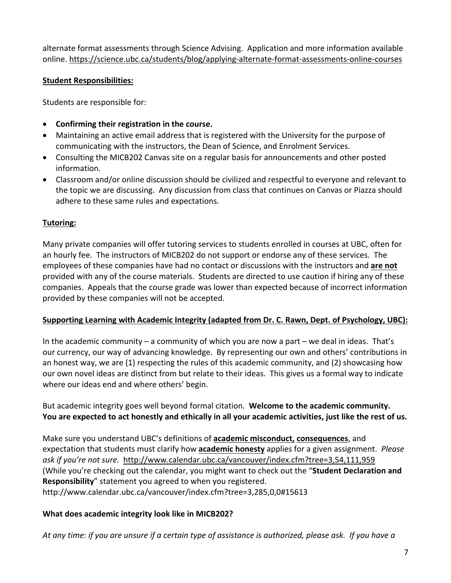alternate format assessments through Science Advising. Application and more information available online. https://science.ubc.ca/students/blog/applying-alternate-format-assessments-online-courses

### **Student Responsibilities:**

Students are responsible for:

- **Confirming their registration in the course.**
- Maintaining an active email address that is registered with the University for the purpose of communicating with the instructors, the Dean of Science, and Enrolment Services.
- Consulting the MICB202 Canvas site on a regular basis for announcements and other posted information.
- Classroom and/or online discussion should be civilized and respectful to everyone and relevant to the topic we are discussing. Any discussion from class that continues on Canvas or Piazza should adhere to these same rules and expectations.

## **Tutoring:**

Many private companies will offer tutoring services to students enrolled in courses at UBC, often for an hourly fee. The instructors of MICB202 do not support or endorse any of these services. The employees of these companies have had no contact or discussions with the instructors and **are not** provided with any of the course materials. Students are directed to use caution if hiring any of these companies. Appeals that the course grade was lower than expected because of incorrect information provided by these companies will not be accepted.

#### **Supporting Learning with Academic Integrity (adapted from Dr. C. Rawn, Dept. of Psychology, UBC):**

In the academic community – a community of which you are now a part – we deal in ideas. That's our currency, our way of advancing knowledge. By representing our own and others' contributions in an honest way, we are (1) respecting the rules of this academic community, and (2) showcasing how our own novel ideas are distinct from but relate to their ideas. This gives us a formal way to indicate where our ideas end and where others' begin.

But academic integrity goes well beyond formal citation. **Welcome to the academic community. You are expected to act honestly and ethically in all your academic activities, just like the rest of us.** 

Make sure you understand UBC's definitions of **academic misconduct, consequences**, and expectation that students must clarify how **academic honesty** applies for a given assignment. *Please ask if you're not sure.* http://www.calendar.ubc.ca/vancouver/index.cfm?tree=3,54,111,959 (While you're checking out the calendar, you might want to check out the "**Student Declaration and Responsibility**" statement you agreed to when you registered. http://www.calendar.ubc.ca/vancouver/index.cfm?tree=3,285,0,0#15613

### **What does academic integrity look like in MICB202?**

*At any time: if you are unsure if a certain type of assistance is authorized, please ask. If you have a*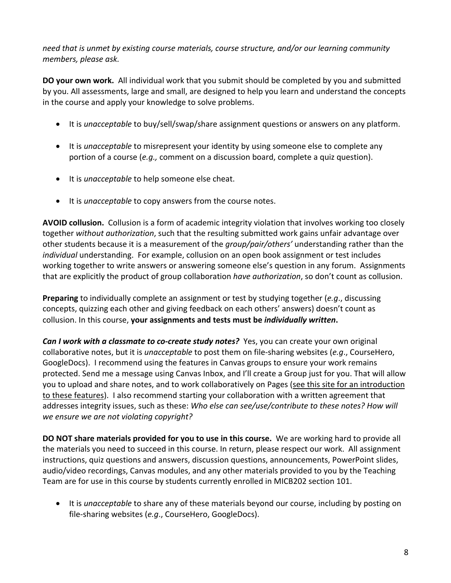*need that is unmet by existing course materials, course structure, and/or our learning community members, please ask.* 

**DO your own work.** All individual work that you submit should be completed by you and submitted by you. All assessments, large and small, are designed to help you learn and understand the concepts in the course and apply your knowledge to solve problems.

- It is *unacceptable* to buy/sell/swap/share assignment questions or answers on any platform.
- It is *unacceptable* to misrepresent your identity by using someone else to complete any portion of a course (*e.g.,* comment on a discussion board, complete a quiz question).
- It is *unacceptable* to help someone else cheat.
- It is *unacceptable* to copy answers from the course notes.

**AVOID collusion.** Collusion is a form of academic integrity violation that involves working too closely together *without authorization*, such that the resulting submitted work gains unfair advantage over other students because it is a measurement of the *group/pair/others'* understanding rather than the *individual* understanding. For example, collusion on an open book assignment or test includes working together to write answers or answering someone else's question in any forum. Assignments that are explicitly the product of group collaboration *have authorization*, so don't count as collusion.

**Preparing** to individually complete an assignment or test by studying together (*e.g*., discussing concepts, quizzing each other and giving feedback on each others' answers) doesn't count as collusion. In this course, **your assignments and tests must be** *individually written***.**

*Can I work with a classmate to co-create study notes?* Yes, you can create your own original collaborative notes, but it is *unacceptable* to post them on file-sharing websites (*e.g*., CourseHero, GoogleDocs). I recommend using the features in Canvas groups to ensure your work remains protected. Send me a message using Canvas Inbox, and I'll create a Group just for you. That will allow you to upload and share notes, and to work collaboratively on Pages (see this site for an introduction to these features). I also recommend starting your collaboration with a written agreement that addresses integrity issues, such as these: *Who else can see/use/contribute to these notes? How will we ensure we are not violating copyright?* 

**DO NOT share materials provided for you to use in this course.** We are working hard to provide all the materials you need to succeed in this course. In return, please respect our work. All assignment instructions, quiz questions and answers, discussion questions, announcements, PowerPoint slides, audio/video recordings, Canvas modules, and any other materials provided to you by the Teaching Team are for use in this course by students currently enrolled in MICB202 section 101.

• It is *unacceptable* to share any of these materials beyond our course, including by posting on file-sharing websites (*e.g*., CourseHero, GoogleDocs).